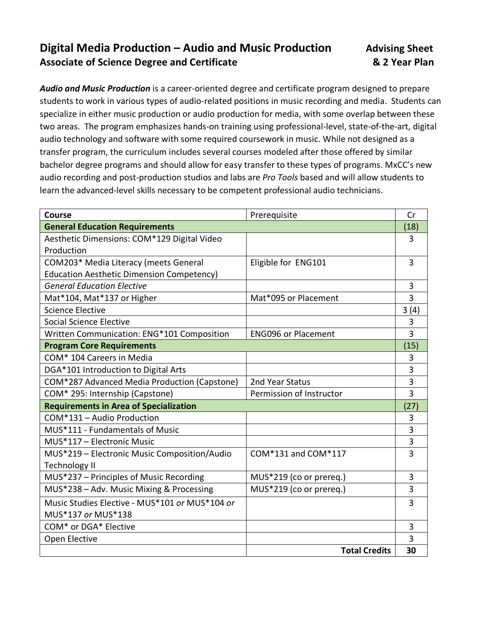## **Digital Media Production – Audio and Music Production Advising Sheet Associate of Science Degree and Certificate & 2 Year Plan**

*Audio and Music Production* is a career-oriented degree and certificate program designed to prepare students to work in various types of audio-related positions in music recording and media. Students can specialize in either music production or audio production for media, with some overlap between these two areas. The program emphasizes hands-on training using professional-level, state-of-the-art, digital audio technology and software with some required coursework in music. While not designed as a transfer program, the curriculum includes several courses modeled after those offered by similar bachelor degree programs and should allow for easy transfer to these types of programs. MxCC's new audio recording and post-production studios and labs are *Pro Tools* based and will allow students to learn the advanced-level skills necessary to be competent professional audio technicians.

| <b>Course</b>                                    | Prerequisite               | Cr   |
|--------------------------------------------------|----------------------------|------|
| <b>General Education Requirements</b>            |                            | (18) |
| Aesthetic Dimensions: COM*129 Digital Video      |                            | 3    |
| Production                                       |                            |      |
| COM203* Media Literacy (meets General            | Eligible for ENG101        | 3    |
| <b>Education Aesthetic Dimension Competency)</b> |                            |      |
| <b>General Education Elective</b>                |                            | 3    |
| Mat*104, Mat*137 or Higher                       | Mat*095 or Placement       | 3    |
| <b>Science Elective</b>                          |                            | 3(4) |
| Social Science Elective                          |                            | 3    |
| Written Communication: ENG*101 Composition       | <b>ENG096 or Placement</b> | 3    |
| <b>Program Core Requirements</b>                 |                            | (15) |
| COM* 104 Careers in Media                        |                            | 3    |
| DGA*101 Introduction to Digital Arts             |                            | 3    |
| COM*287 Advanced Media Production (Capstone)     | 2nd Year Status            | 3    |
| COM* 295: Internship (Capstone)                  | Permission of Instructor   | 3    |
| <b>Requirements in Area of Specialization</b>    |                            | (27) |
| COM*131 - Audio Production                       |                            | 3    |
| MUS*111 - Fundamentals of Music                  |                            | 3    |
| MUS*117 - Electronic Music                       |                            | 3    |
| MUS*219 - Electronic Music Composition/Audio     | COM*131 and COM*117        | 3    |
| <b>Technology II</b>                             |                            |      |
| MUS*237 - Principles of Music Recording          | MUS*219 (co or prereq.)    | 3    |
| MUS*238 - Adv. Music Mixing & Processing         | MUS*219 (co or prereq.)    | 3    |
| Music Studies Elective - MUS*101 or MUS*104 or   |                            | 3    |
| MUS*137 or MUS*138                               |                            |      |
| COM* or DGA* Elective                            |                            | 3    |
| Open Elective                                    |                            | 3    |
|                                                  | <b>Total Credits</b>       | 30   |